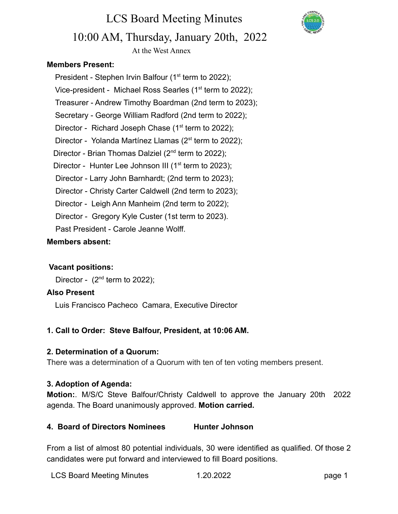

# LCS Board Meeting Minutes 10:00 AM, Thursday, January 20th, 2022

At the West Annex

# **Members Present:**

President - Stephen Irvin Balfour ( $1<sup>st</sup>$  term to 2022); Vice-president - Michael Ross Searles (1<sup>st</sup> term to 2022); Treasurer - Andrew Timothy Boardman (2nd term to 2023); Secretary - George William Radford (2nd term to 2022); Director - Richard Joseph Chase  $(1<sup>st</sup>$  term to 2022); Director - Yolanda Martínez Llamas ( $2^{st}$  term to 2022); Director - Brian Thomas Dalziel (2<sup>nd</sup> term to 2022); Director - Hunter Lee Johnson III ( $1<sup>st</sup>$  term to 2023); Director - Larry John Barnhardt; (2nd term to 2023); Director - Christy Carter Caldwell (2nd term to 2023); Director - Leigh Ann Manheim (2nd term to 2022); Director - Gregory Kyle Custer (1st term to 2023). Past President - Carole Jeanne Wolff.

# **Members absent:**

### **Vacant positions:**

Director -  $(2^{nd}$  term to 2022);

### **Also Present**

Luis Francisco Pacheco Camara, Executive Director

# **1. Call to Order: Steve Balfour, President, at 10:06 AM.**

### **2. Determination of a Quorum:**

There was a determination of a Quorum with ten of ten voting members present.

### **3. Adoption of Agenda:**

**Motion:**. M/S/C Steve Balfour/Christy Caldwell to approve the January 20th 2022 agenda. The Board unanimously approved. **Motion carried.**

# **4. Board of Directors Nominees Hunter Johnson**

From a list of almost 80 potential individuals, 30 were identified as qualified. Of those 2 candidates were put forward and interviewed to fill Board positions.

| <b>LCS Board Meeting Minutes</b> | 1.20.2022 | page 1 |
|----------------------------------|-----------|--------|
|----------------------------------|-----------|--------|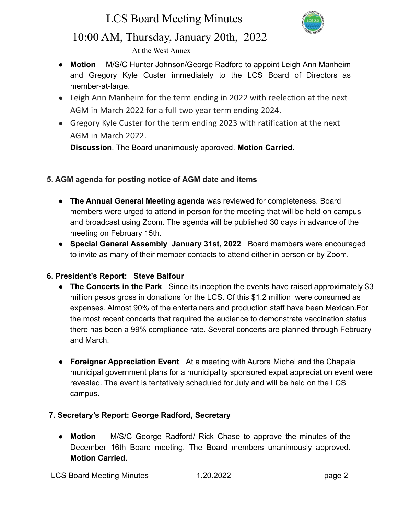# LCS Board Meeting Minutes



# 10:00 AM, Thursday, January 20th, 2022

At the West Annex

- **Motion** M/S/C Hunter Johnson/George Radford to appoint Leigh Ann Manheim and Gregory Kyle Custer immediately to the LCS Board of Directors as member-at-large.
- Leigh Ann Manheim for the term ending in 2022 with reelection at the next AGM in March 2022 for a full two year term ending 2024.
- Gregory Kyle Custer for the term ending 2023 with ratification at the next AGM in March 2022.

**Discussion**. The Board unanimously approved. **Motion Carried.**

# **5. AGM agenda for posting notice of AGM date and items**

- **The Annual General Meeting agenda** was reviewed for completeness. Board members were urged to attend in person for the meeting that will be held on campus and broadcast using Zoom. The agenda will be published 30 days in advance of the meeting on February 15th.
- **● Special General Assembly January 31st, 2022** Board members were encouraged to invite as many of their member contacts to attend either in person or by Zoom.

# **6. President's Report: Steve Balfour**

- **The Concerts in the Park** Since its inception the events have raised approximately \$3 million pesos gross in donations for the LCS. Of this \$1.2 million were consumed as expenses. Almost 90% of the entertainers and production staff have been Mexican.For the most recent concerts that required the audience to demonstrate vaccination status there has been a 99% compliance rate. Several concerts are planned through February and March.
- **Foreigner Appreciation Event** At a meeting with Aurora Michel and the Chapala municipal government plans for a municipality sponsored expat appreciation event were revealed. The event is tentatively scheduled for July and will be held on the LCS campus.

# **7. Secretary's Report: George Radford, Secretary**

● **Motion** M/S/C George Radford/ Rick Chase to approve the minutes of the December 16th Board meeting. The Board members unanimously approved. **Motion Carried.**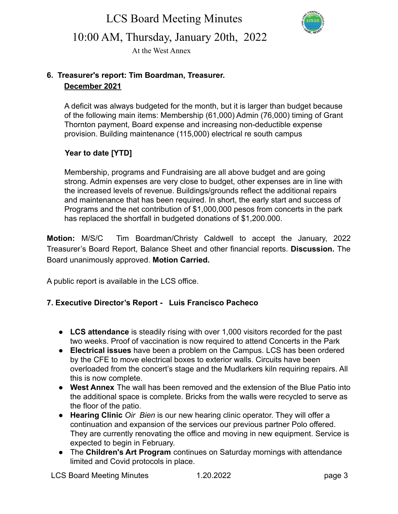LCS Board Meeting Minutes



10:00 AM, Thursday, January 20th, 2022

At the West Annex

# **6. Treasurer's report: Tim Boardman, Treasurer. December 2021**

A deficit was always budgeted for the month, but it is larger than budget because of the following main items: Membership (61,000) Admin (76,000) timing of Grant Thornton payment, Board expense and increasing non-deductible expense provision. Building maintenance (115,000) electrical re south campus

# **Year to date [YTD]**

Membership, programs and Fundraising are all above budget and are going strong. Admin expenses are very close to budget, other expenses are in line with the increased levels of revenue. Buildings/grounds reflect the additional repairs and maintenance that has been required. In short, the early start and success of Programs and the net contribution of \$1,000,000 pesos from concerts in the park has replaced the shortfall in budgeted donations of \$1,200.000.

**Motion:** M/S/C Tim Boardman/Christy Caldwell to accept the January, 2022 Treasurer's Board Report, Balance Sheet and other financial reports. **Discussion.** The Board unanimously approved. **Motion Carried.**

A public report is available in the LCS office.

# **7. Executive Director's Report - Luis Francisco Pacheco**

- **LCS attendance** is steadily rising with over 1,000 visitors recorded for the past two weeks. Proof of vaccination is now required to attend Concerts in the Park
- **Electrical issues** have been a problem on the Campus. LCS has been ordered by the CFE to move electrical boxes to exterior walls. Circuits have been overloaded from the concert's stage and the Mudlarkers kiln requiring repairs. All this is now complete.
- **West Annex** The wall has been removed and the extension of the Blue Patio into the additional space is complete. Bricks from the walls were recycled to serve as the floor of the patio.
- **Hearing Clinic** *Oir Bien* is our new hearing clinic operator. They will offer a continuation and expansion of the services our previous partner Polo offered. They are currently renovating the office and moving in new equipment. Service is expected to begin in February.
- The **Children's Art Program** continues on Saturday mornings with attendance limited and Covid protocols in place.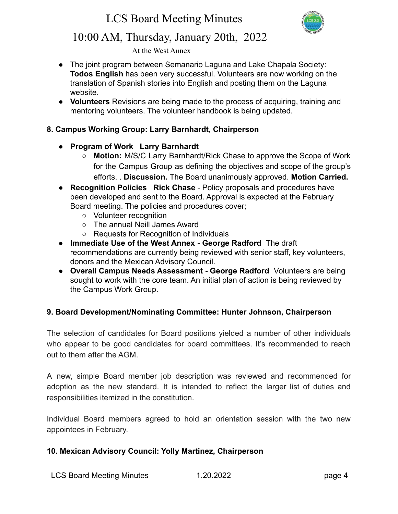

# 10:00 AM, Thursday, January 20th, 2022

At the West Annex

- The joint program between Semanario Laguna and Lake Chapala Society: **Todos English** has been very successful. Volunteers are now working on the translation of Spanish stories into English and posting them on the Laguna website.
- **Volunteers** Revisions are being made to the process of acquiring, training and mentoring volunteers. The volunteer handbook is being updated.

### **8. Campus Working Group: Larry Barnhardt, Chairperson**

- **Program of Work Larry Barnhardt**
	- **Motion:** M/S/C Larry Barnhardt/Rick Chase to approve the Scope of Work for the Campus Group as defining the objectives and scope of the group's efforts. . **Discussion.** The Board unanimously approved. **Motion Carried.**
- **Recognition Policies Rick Chase** Policy proposals and procedures have been developed and sent to the Board. Approval is expected at the February Board meeting. The policies and procedures cover;
	- Volunteer recognition
	- The annual Neill James Award
	- Requests for Recognition of Individuals
- **Immediate Use of the West Annex George Radford** The draft recommendations are currently being reviewed with senior staff, key volunteers, donors and the Mexican Advisory Council.
- **● Overall Campus Needs Assessment George Radford** Volunteers are being sought to work with the core team. An initial plan of action is being reviewed by the Campus Work Group.

# **9. Board Development/Nominating Committee: Hunter Johnson, Chairperson**

The selection of candidates for Board positions yielded a number of other individuals who appear to be good candidates for board committees. It's recommended to reach out to them after the AGM.

A new, simple Board member job description was reviewed and recommended for adoption as the new standard. It is intended to reflect the larger list of duties and responsibilities itemized in the constitution.

Individual Board members agreed to hold an orientation session with the two new appointees in February.

# **10. Mexican Advisory Council: Yolly Martinez, Chairperson**

LCS Board Meeting Minutes 1.20.2022 page 4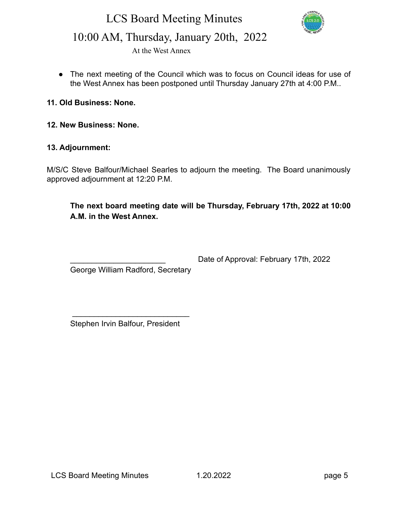# LCS Board Meeting Minutes



# 10:00 AM, Thursday, January 20th, 2022

At the West Annex

● The next meeting of the Council which was to focus on Council ideas for use of the West Annex has been postponed until Thursday January 27th at 4:00 P.M..

#### **11. Old Business: None.**

**12. New Business: None.**

#### **13. Adjournment:**

M/S/C Steve Balfour/Michael Searles to adjourn the meeting. The Board unanimously approved adjournment at 12:20 P.M.

**The next board meeting date will be Thursday, February 17th, 2022 at 10:00 A.M. in the West Annex.**

Date of Approval: February 17th, 2022

George William Radford, Secretary

Stephen Irvin Balfour, President

 $\_$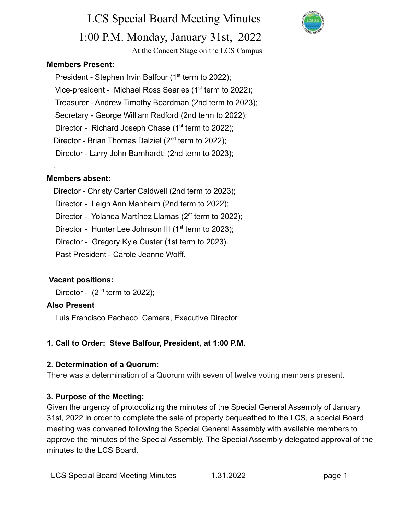LCS Special Board Meeting Minutes 1:00 P.M. Monday, January 31st, 2022 At the Concert Stage on the LCS Campus

#### **Members Present:**

President - Stephen Irvin Balfour ( $1<sup>st</sup>$  term to 2022); Vice-president - Michael Ross Searles (1<sup>st</sup> term to 2022); Treasurer - Andrew Timothy Boardman (2nd term to 2023); Secretary - George William Radford (2nd term to 2022); Director - Richard Joseph Chase  $(1<sup>st</sup>$  term to 2022); Director - Brian Thomas Dalziel (2<sup>nd</sup> term to 2022); Director - Larry John Barnhardt; (2nd term to 2023);

#### **Members absent:**

.

- Director Christy Carter Caldwell (2nd term to 2023);
- Director Leigh Ann Manheim (2nd term to 2022);
- Director Yolanda Martínez Llamas ( $2^{st}$  term to 2022);
- Director Hunter Lee Johnson III ( $1<sup>st</sup>$  term to 2023);
- Director Gregory Kyle Custer (1st term to 2023).
- Past President Carole Jeanne Wolff.

#### **Vacant positions:**

Director -  $(2^{nd}$  term to 2022);

#### **Also Present**

Luis Francisco Pacheco Camara, Executive Director

### **1. Call to Order: Steve Balfour, President, at 1:00 P.M.**

#### **2. Determination of a Quorum:**

There was a determination of a Quorum with seven of twelve voting members present.

### **3. Purpose of the Meeting:**

Given the urgency of protocolizing the minutes of the Special General Assembly of January 31st, 2022 in order to complete the sale of property bequeathed to the LCS, a special Board meeting was convened following the Special General Assembly with available members to approve the minutes of the Special Assembly. The Special Assembly delegated approval of the minutes to the LCS Board.